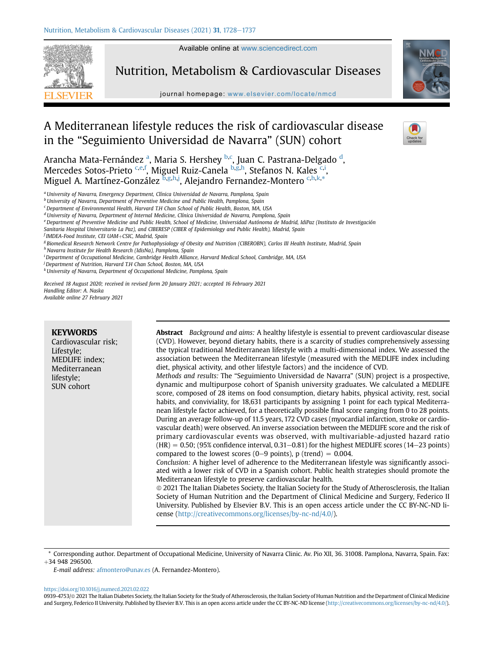Available online at [www.sciencedirect.com](www.sciencedirect.com/science/journal/09394753)



Nutrition, Metabolism & Cardiovascular Diseases

journal homepage: [www.elsevier.com/locate/nmcd](http://www.elsevier.com/locate/nmcd)



# A Mediterranean lifestyle reduces the risk of cardiovascular disease in the "Seguimiento Universidad de Navarra" (SUN) cohort

Ar[a](#page-0-0)ncha Mata-Fernández <sup>a</sup>, Maria S. Hershey <sup>[b,](#page-0-1)[c](#page-0-2)</sup>, Juan C. Pastrana-Delga[d](#page-0-3)o <sup>d</sup>, Mercedes Sotos-Prieto <sup>[c,](#page-0-2)[e](#page-0-4)[,f](#page-0-5)</sup>, Miguel Ruiz-Canela <sup>[b](#page-0-1)[,g,](#page-0-6)[h](#page-0-7)</sup>, Stefanos N. Kales <sup>c,[i](#page-0-8)</sup>, Miguel A. Martínez-González <sup>[b](#page-0-1),[g](#page-0-6)[,h,](#page-0-7)[j](#page-0-9)</sup>, Alejandro Fernandez-Montero <sup>[c,](#page-0-2)[h](#page-0-7)[,k,](#page-0-10)</sup>[\\*](#page-0-11)

<span id="page-0-0"></span><sup>a</sup> University of Navarra, Emergency Department, Clínica Universidad de Navarra, Pamplona, Spain

<span id="page-0-1"></span>**b University of Navarra, Department of Preventive Medicine and Public Health, Pamplona, Spain** 

<span id="page-0-2"></span> $\epsilon$  Department of Environmental Health, Harvard T.H Chan School of Public Health, Boston, MA, USA

<span id="page-0-3"></span> $^d$ University of Navarra, Department of Internal Medicine, Clínica Universidad de Navarra, Pamplona, Spain

<span id="page-0-4"></span>e Department of Preventive Medicine and Public Health, School of Medicine, Universidad Autónoma de Madrid, IdiPaz (Instituto de Investigación

Sanitaria Hospital Universitario La Paz), and CIBERESP (CIBER of Epidemiology and Public Health), Madrid, Spain

<span id="page-0-5"></span><sup>f</sup> IMDEA-Food Institute, CEI UAM+CSIC, Madrid, Spain

<span id="page-0-6"></span><sup>g</sup> Biomedical Research Network Centre for Pathophysiology of Obesity and Nutrition (CIBEROBN), Carlos III Health Institute, Madrid, Spain

<span id="page-0-7"></span>h Navarra Institute for Health Research (IdisNa), Pamplona, Spain

<span id="page-0-8"></span>i Department of Occupational Medicine, Cambridge Health Alliance, Harvard Medical School, Cambridge, MA, USA

<span id="page-0-9"></span><sup>j</sup> Department of Nutrition, Harvard T.H Chan School, Boston, MA, USA

<span id="page-0-10"></span> $k$ University of Navarra, Department of Occupational Medicine, Pamplona, Spain

Received 18 August 2020; received in revised form 20 January 2021; accepted 16 February 2021 Handling Editor: A. Naska Available online 27 February 2021

KEYWORDS Cardiovascular risk; Lifestyle; MEDLIFE index; Mediterranean lifestyle; SUN cohort Abstract Background and aims: A healthy lifestyle is essential to prevent cardiovascular disease (CVD). However, beyond dietary habits, there is a scarcity of studies comprehensively assessing the typical traditional Mediterranean lifestyle with a multi-dimensional index. We assessed the association between the Mediterranean lifestyle (measured with the MEDLIFE index including diet, physical activity, and other lifestyle factors) and the incidence of CVD. Methods and results: The "Seguimiento Universidad de Navarra" (SUN) project is a prospective, dynamic and multipurpose cohort of Spanish university graduates. We calculated a MEDLIFE score, composed of 28 items on food consumption, dietary habits, physical activity, rest, social habits, and conviviality, for 18,631 participants by assigning 1 point for each typical Mediterranean lifestyle factor achieved, for a theoretically possible final score ranging from 0 to 28 points. During an average follow-up of 11.5 years, 172 CVD cases (myocardial infarction, stroke or cardiovascular death) were observed. An inverse association between the MEDLIFE score and the risk of primary cardiovascular events was observed, with multivariable-adjusted hazard ratio  $(HR) = 0.50$ ; (95% confidence interval, 0.31–0.81) for the highest MEDLIFE scores (14–23 points) compared to the lowest scores (0–9 points), p (trend) =  $0.004$ . Conclusion: A higher level of adherence to the Mediterranean lifestyle was significantly associated with a lower risk of CVD in a Spanish cohort. Public health strategies should promote the Mediterranean lifestyle to preserve cardiovascular health.  $\odot$  2021 The Italian Diabetes Society, the Italian Society for the Study of Atherosclerosis, the Italian Society of Human Nutrition and the Department of Clinical Medicine and Surgery, Federico II University. Published by Elsevier B.V. This is an open access article under the CC BY-NC-ND license ([http://creativecommons.org/licenses/by-nc-nd/4.0/\)](http://creativecommons.org/licenses/by-nc-nd/4.0/).

<span id="page-0-11"></span>\* Corresponding author. Department of Occupational Medicine, University of Navarra Clinic. Av. Pio XII, 36. 31008. Pamplona, Navarra, Spain. Fax: þ34 948 296500.

E-mail address: [afmontero@unav.es](mailto:afmontero@unav.es) (A. Fernandez-Montero).

<https://doi.org/10.1016/j.numecd.2021.02.022>

0939-4753/@ 2021 The Italian Diabetes Society, the Italian Society for the Study of Atherosclerosis, the Italian Society of Human Nutrition and the Department of Clinical Medicine and Surgery, Federico II University. Published by Elsevier B.V. This is an open access article under the CC BY-NC-ND license (<http://creativecommons.org/licenses/by-nc-nd/4.0/>).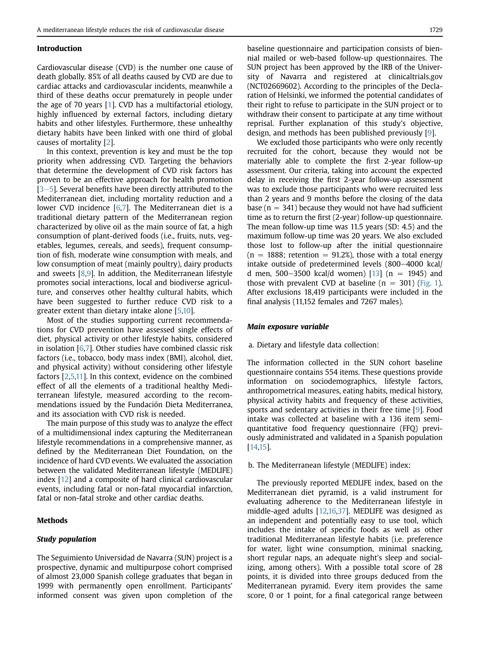#### Introduction

Cardiovascular disease (CVD) is the number one cause of death globally. 85% of all deaths caused by CVD are due to cardiac attacks and cardiovascular incidents, meanwhile a third of these deaths occur prematurely in people under the age of 70 years [[1\]](#page-8-0). CVD has a multifactorial etiology, highly influenced by external factors, including dietary habits and other lifestyles. Furthermore, these unhealthy dietary habits have been linked with one third of global causes of mortality [\[2](#page-8-1)].

In this context, prevention is key and must be the top priority when addressing CVD. Targeting the behaviors that determine the development of CVD risk factors has proven to be an effective approach for health promotion  $[3-5]$  $[3-5]$  $[3-5]$  $[3-5]$  $[3-5]$ . Several benefits have been directly attributed to the Mediterranean diet, including mortality reduction and a lower CVD incidence [\[6](#page-8-3)[,7](#page-8-4)]. The Mediterranean diet is a traditional dietary pattern of the Mediterranean region characterized by olive oil as the main source of fat, a high consumption of plant-derived foods (i.e., fruits, nuts, vegetables, legumes, cereals, and seeds), frequent consumption of fish, moderate wine consumption with meals, and low consumption of meat (mainly poultry), dairy products and sweets  $[8,9]$  $[8,9]$  $[8,9]$  $[8,9]$ . In addition, the Mediterranean lifestyle promotes social interactions, local and biodiverse agriculture, and conserves other healthy cultural habits, which have been suggested to further reduce CVD risk to a greater extent than dietary intake alone [[5](#page-8-7)[,10](#page-8-8)].

Most of the studies supporting current recommendations for CVD prevention have assessed single effects of diet, physical activity or other lifestyle habits, considered in isolation  $[6,7]$  $[6,7]$  $[6,7]$ . Other studies have combined classic risk factors (i.e., tobacco, body mass index (BMI), alcohol, diet, and physical activity) without considering other lifestyle factors [[2](#page-8-1)[,5](#page-8-7)[,11\]](#page-8-9). In this context, evidence on the combined effect of all the elements of a traditional healthy Mediterranean lifestyle, measured according to the recommendations issued by the Fundación Dieta Mediterranea, and its association with CVD risk is needed.

The main purpose of this study was to analyze the effect of a multidimensional index capturing the Mediterranean lifestyle recommendations in a comprehensive manner, as defined by the Mediterranean Diet Foundation, on the incidence of hard CVD events. We evaluated the association between the validated Mediterranean lifestyle (MEDLIFE) index [\[12](#page-8-10)] and a composite of hard clinical cardiovascular events, including fatal or non-fatal myocardial infarction, fatal or non-fatal stroke and other cardiac deaths.

#### Methods

# Study population

The Seguimiento Universidad de Navarra (SUN) project is a prospective, dynamic and multipurpose cohort comprised of almost 23,000 Spanish college graduates that began in 1999 with permanently open enrollment. Participants' informed consent was given upon completion of the baseline questionnaire and participation consists of biennial mailed or web-based follow-up questionnaires. The SUN project has been approved by the IRB of the University of Navarra and registered at clinicaltrials.gov (NCT02669602). According to the principles of the Declaration of Helsinki, we informed the potential candidates of their right to refuse to participate in the SUN project or to withdraw their consent to participate at any time without reprisal. Further explanation of this study's objective, design, and methods has been published previously [\[9](#page-8-6)].

We excluded those participants who were only recently recruited for the cohort, because they would not be materially able to complete the first 2-year follow-up assessment. Our criteria, taking into account the expected delay in receiving the first 2-year follow-up assessment was to exclude those participants who were recruited less than 2 years and 9 months before the closing of the data base ( $n = 341$ ) because they would not have had sufficient time as to return the first (2-year) follow-up questionnaire. The mean follow-up time was 11.5 years (SD: 4.5) and the maximum follow-up time was 20 years. We also excluded those lost to follow-up after the initial questionnaire  $(n = 1888;$  retention  $= 91.2\%)$ , those with a total energy intake outside of predetermined levels  $(800-4000 \text{ kcal})$ d men, 500-3500 kcal/d women)  $[13]$  $[13]$  $[13]$  (n = 1945) and those with prevalent CVD at baseline  $(n = 301)$  [\(Fig. 1](#page-2-0)). After exclusions 18,419 participants were included in the final analysis (11,152 females and 7267 males).

## Main exposure variable

a. Dietary and lifestyle data collection:

The information collected in the SUN cohort baseline questionnaire contains 554 items. These questions provide information on sociodemographics, lifestyle factors, anthropometrical measures, eating habits, medical history, physical activity habits and frequency of these activities, sports and sedentary activities in their free time [\[9\]](#page-8-6). Food intake was collected at baseline with a 136 item semiquantitative food frequency questionnaire (FFQ) previously administrated and validated in a Spanish population [[14](#page-8-12)[,15](#page-8-13)].

b. The Mediterranean lifestyle (MEDLIFE) index:

The previously reported MEDLIFE index, based on the Mediterranean diet pyramid, is a valid instrument for evaluating adherence to the Mediterranean lifestyle in middle-aged adults [\[12,](#page-8-10)[16](#page-8-14)[,37](#page-9-0)]. MEDLIFE was designed as an independent and potentially easy to use tool, which includes the intake of specific foods as well as other traditional Mediterranean lifestyle habits (i.e. preference for water, light wine consumption, minimal snacking, short regular naps, an adequate night's sleep and socializing, among others). With a possible total score of 28 points, it is divided into three groups deduced from the Mediterranean pyramid. Every item provides the same score, 0 or 1 point, for a final categorical range between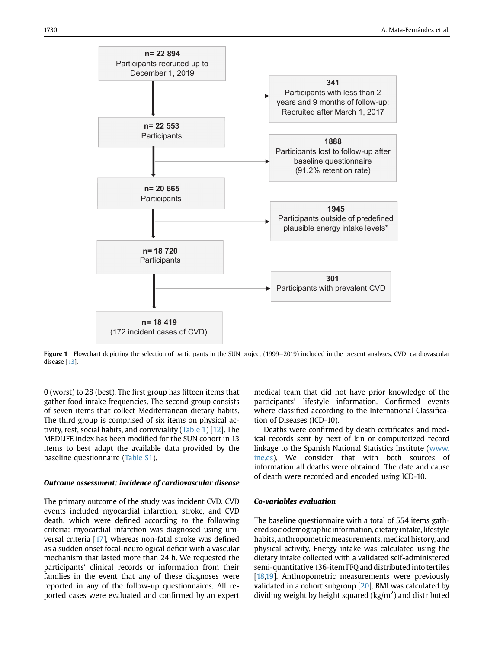<span id="page-2-0"></span>

Figure 1 Flowchart depicting the selection of participants in the SUN project (1999-2019) included in the present analyses. CVD: cardiovascular disease [\[13](#page-8-11)].

0 (worst) to 28 (best). The first group has fifteen items that gather food intake frequencies. The second group consists of seven items that collect Mediterranean dietary habits. The third group is comprised of six items on physical activity, rest, social habits, and conviviality [\(Table 1\)](#page-3-0) [[12](#page-8-10)]. The MEDLIFE index has been modified for the SUN cohort in 13 items to best adapt the available data provided by the baseline questionnaire (Table S1).

# Outcome assessment: incidence of cardiovascular disease

The primary outcome of the study was incident CVD. CVD events included myocardial infarction, stroke, and CVD death, which were defined according to the following criteria: myocardial infarction was diagnosed using universal criteria [\[17\]](#page-8-15), whereas non-fatal stroke was defined as a sudden onset focal-neurological deficit with a vascular mechanism that lasted more than 24 h. We requested the participants' clinical records or information from their families in the event that any of these diagnoses were reported in any of the follow-up questionnaires. All reported cases were evaluated and confirmed by an expert

medical team that did not have prior knowledge of the participants' lifestyle information. Confirmed events where classified according to the International Classification of Diseases (ICD-10).

Deaths were confirmed by death certificates and medical records sent by next of kin or computerized record linkage to the Spanish National Statistics Institute [\(www.](http://www.ine.es) [ine.es](http://www.ine.es)). We consider that with both sources of information all deaths were obtained. The date and cause of death were recorded and encoded using ICD-10.

# Co-variables evaluation

The baseline questionnaire with a total of 554 items gathered sociodemographic information, dietary intake, lifestyle habits, anthropometric measurements, medical history, and physical activity. Energy intake was calculated using the dietary intake collected with a validated self-administered semi-quantitative 136-item FFQ and distributed into tertiles [[18,](#page-8-16)[19\]](#page-8-17). Anthropometric measurements were previously validated in a cohort subgroup [\[20\]](#page-8-18). BMI was calculated by dividing weight by height squared ( $\text{kg/m}^2$ ) and distributed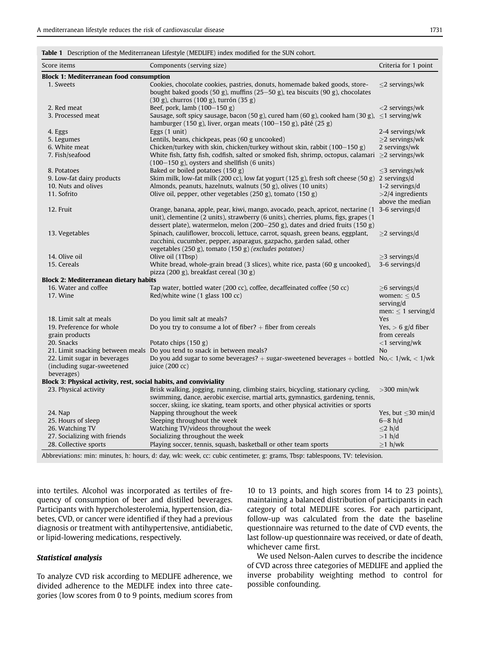<span id="page-3-0"></span>Table 1 Description of the Mediterranean Lifestyle (MEDLIFE) index modified for the SUN cohort.

| Score items                                                       | Components (serving size)                                                                                                                                                                                                                                              | Criteria for 1 point                                                             |  |  |  |  |
|-------------------------------------------------------------------|------------------------------------------------------------------------------------------------------------------------------------------------------------------------------------------------------------------------------------------------------------------------|----------------------------------------------------------------------------------|--|--|--|--|
| <b>Block 1: Mediterranean food consumption</b>                    |                                                                                                                                                                                                                                                                        |                                                                                  |  |  |  |  |
| 1. Sweets                                                         | Cookies, chocolate cookies, pastries, donuts, homemade baked goods, store-<br>bought baked goods (50 g), muffins (25–50 g), tea biscuits (90 g), chocolates<br>(30 g), churros (100 g), turrón (35 g)                                                                  | $\leq$ 2 servings/wk                                                             |  |  |  |  |
| 2. Red meat                                                       | Beef, pork, lamb $(100-150$ g)                                                                                                                                                                                                                                         | $<$ 2 servings/wk                                                                |  |  |  |  |
| 3. Processed meat                                                 | Sausage, soft spicy sausage, bacon (50 g), cured ham (60 g), cooked ham (30 g), $\leq$ 1 serving/wk<br>hamburger (150 g), liver, organ meats (100-150 g), pâté (25 g)                                                                                                  |                                                                                  |  |  |  |  |
| 4. Eggs                                                           | Eggs $(1 \text{ unit})$                                                                                                                                                                                                                                                | 2-4 servings/wk                                                                  |  |  |  |  |
| 5. Legumes                                                        | Lentils, beans, chickpeas, peas (60 g uncooked)                                                                                                                                                                                                                        | $\geq$ 2 servings/wk                                                             |  |  |  |  |
| 6. White meat                                                     | Chicken/turkey with skin, chicken/turkey without skin, rabbit $(100-150 \text{ g})$                                                                                                                                                                                    | 2 servings/wk                                                                    |  |  |  |  |
| 7. Fish/seafood                                                   | White fish, fatty fish, codfish, salted or smoked fish, shrimp, octopus, calamari $\geq 2$ servings/wk<br>$(100-150 \text{ g})$ , oysters and shellfish (6 units)                                                                                                      |                                                                                  |  |  |  |  |
| 8. Potatoes                                                       | Baked or boiled potatoes (150 g)                                                                                                                                                                                                                                       | $\leq$ 3 servings/wk                                                             |  |  |  |  |
| 9. Low-fat dairy products                                         | Skim milk, low-fat milk (200 cc), low fat yogurt (125 g), fresh soft cheese (50 g) 2 servings/d                                                                                                                                                                        |                                                                                  |  |  |  |  |
| 10. Nuts and olives                                               | Almonds, peanuts, hazelnuts, walnuts (50 g), olives (10 units)                                                                                                                                                                                                         | 1-2 servings/d                                                                   |  |  |  |  |
| 11. Sofrito                                                       | Olive oil, pepper, other vegetables (250 g), tomato (150 g)                                                                                                                                                                                                            | $>2/4$ ingredients<br>above the median                                           |  |  |  |  |
| 12. Fruit                                                         | Orange, banana, apple, pear, kiwi, mango, avocado, peach, apricot, nectarine (1 3-6 servings/d<br>unit), clementine (2 units), strawberry (6 units), cherries, plums, figs, grapes (1<br>dessert plate), watermelon, melon (200-250 g), dates and dried fruits (150 g) |                                                                                  |  |  |  |  |
| 13. Vegetables                                                    | Spinach, cauliflower, broccoli, lettuce, carrot, squash, green beans, eggplant,<br>zucchini, cucumber, pepper, asparagus, gazpacho, garden salad, other<br>vegetables (250 g), tomato (150 g) (excludes potatoes)                                                      | $\geq$ 2 servings/d                                                              |  |  |  |  |
| 14. Olive oil                                                     | Olive oil (1Tbsp)                                                                                                                                                                                                                                                      | $>3$ servings/d                                                                  |  |  |  |  |
| 15. Cereals                                                       | White bread, whole-grain bread (3 slices), white rice, pasta (60 g uncooked),<br>pizza (200 g), breakfast cereal (30 g)                                                                                                                                                | 3-6 servings/d                                                                   |  |  |  |  |
| <b>Block 2: Mediterranean dietary habits</b>                      |                                                                                                                                                                                                                                                                        |                                                                                  |  |  |  |  |
| 16. Water and coffee<br>17. Wine                                  | Tap water, bottled water (200 cc), coffee, decaffeinated coffee (50 cc)<br>Red/white wine (1 glass 100 cc)                                                                                                                                                             | $\geq$ 6 servings/d<br>women: $\leq 0.5$<br>serving/d<br>men: $\leq 1$ serving/d |  |  |  |  |
| 18. Limit salt at meals                                           | Do you limit salt at meals?                                                                                                                                                                                                                                            | <b>Yes</b>                                                                       |  |  |  |  |
| 19. Preference for whole<br>grain products                        | Do you try to consume a lot of fiber? $+$ fiber from cereals                                                                                                                                                                                                           | Yes, $> 6$ g/d fiber<br>from cereals                                             |  |  |  |  |
| 20. Snacks                                                        | Potato chips $(150 g)$                                                                                                                                                                                                                                                 | $<$ 1 serving/wk                                                                 |  |  |  |  |
|                                                                   | 21. Limit snacking between meals Do you tend to snack in between meals?                                                                                                                                                                                                | N <sub>o</sub>                                                                   |  |  |  |  |
| 22. Limit sugar in beverages                                      | Do you add sugar to some beverages? + sugar-sweetened beverages + bottled $No, < 1/wk, < 1/wk$                                                                                                                                                                         |                                                                                  |  |  |  |  |
| (including sugar-sweetened<br>beverages)                          | juice (200 cc)                                                                                                                                                                                                                                                         |                                                                                  |  |  |  |  |
| Block 3: Physical activity, rest, social habits, and conviviality |                                                                                                                                                                                                                                                                        |                                                                                  |  |  |  |  |
| 23. Physical activity                                             | Brisk walking, jogging, running, climbing stairs, bicycling, stationary cycling,<br>swimming, dance, aerobic exercise, martial arts, gymnastics, gardening, tennis,<br>soccer, skiing, ice skating, team sports, and other physical activities or sports               | $>$ 300 min/wk                                                                   |  |  |  |  |
| 24. Nap                                                           | Napping throughout the week                                                                                                                                                                                                                                            | Yes, but $\leq$ 30 min/d                                                         |  |  |  |  |
| 25. Hours of sleep                                                | Sleeping throughout the week                                                                                                                                                                                                                                           | $6 - 8 h/d$                                                                      |  |  |  |  |
| 26. Watching TV                                                   | Watching TV/videos throughout the week                                                                                                                                                                                                                                 | $\leq$ 2 h/d                                                                     |  |  |  |  |
| 27. Socializing with friends                                      | Socializing throughout the week                                                                                                                                                                                                                                        | $>1$ h/d                                                                         |  |  |  |  |
| 28. Collective sports                                             | Playing soccer, tennis, squash, basketball or other team sports                                                                                                                                                                                                        | $\geq$ 1 h/wk                                                                    |  |  |  |  |
| <b>Contract Contract Contract</b>                                 | the contract of the contract of the contract of the contract of the contract of the contract of the contract of                                                                                                                                                        |                                                                                  |  |  |  |  |

Abbreviations: min: minutes, h: hours, d: day, wk: week, cc: cubic centimeter, g: grams, Tbsp: tablespoons, TV: television.

into tertiles. Alcohol was incorporated as tertiles of frequency of consumption of beer and distilled beverages. Participants with hypercholesterolemia, hypertension, diabetes, CVD, or cancer were identified if they had a previous diagnosis or treatment with antihypertensive, antidiabetic, or lipid-lowering medications, respectively.

# Statistical analysis

To analyze CVD risk according to MEDLIFE adherence, we divided adherence to the MEDLFE index into three categories (low scores from 0 to 9 points, medium scores from 10 to 13 points, and high scores from 14 to 23 points), maintaining a balanced distribution of participants in each category of total MEDLIFE scores. For each participant, follow-up was calculated from the date the baseline questionnaire was returned to the date of CVD events, the last follow-up questionnaire was received, or date of death, whichever came first.

We used Nelson-Aalen curves to describe the incidence of CVD across three categories of MEDLIFE and applied the inverse probability weighting method to control for possible confounding.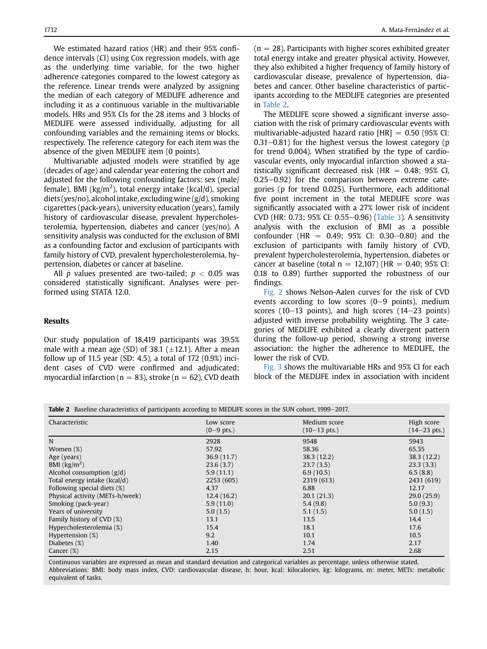We estimated hazard ratios (HR) and their 95% confidence intervals (CI) using Cox regression models, with age as the underlying time variable, for the two higher adherence categories compared to the lowest category as the reference. Linear trends were analyzed by assigning the median of each category of MEDLIFE adherence and including it as a continuous variable in the multivariable models. HRs and 95% CIs for the 28 items and 3 blocks of MEDLIFE were assessed individually, adjusting for all confounding variables and the remaining items or blocks, respectively. The reference category for each item was the absence of the given MEDLIFE item (0 points).

Multivariable adjusted models were stratified by age (decades of age) and calendar year entering the cohort and adjusted for the following confounding factors: sex (male/ female), BMI (kg/m<sup>2</sup>), total energy intake (kcal/d), special diets (yes/no), alcohol intake, excluding wine (g/d), smoking cigarettes (pack-years), university education (years), family history of cardiovascular disease, prevalent hypercholesterolemia, hypertension, diabetes and cancer (yes/no). A sensitivity analysis was conducted for the exclusion of BMI as a confounding factor and exclusion of participants with family history of CVD, prevalent hypercholesterolemia, hypertension, diabetes or cancer at baseline.

All p values presented are two-tailed;  $p < 0.05$  was considered statistically significant. Analyses were performed using STATA 12.0.

# Results

Our study population of 18,419 participants was 39.5% male with a mean age (SD) of 38.1  $(\pm 12.1)$ . After a mean follow up of 11.5 year (SD: 4.5), a total of 172 (0.9%) incident cases of CVD were confirmed and adjudicated; myocardial infarction ( $n = 83$ ), stroke ( $n = 62$ ), CVD death  $(n = 28)$ . Participants with higher scores exhibited greater total energy intake and greater physical activity. However, they also exhibited a higher frequency of family history of cardiovascular disease, prevalence of hypertension, diabetes and cancer. Other baseline characteristics of participants according to the MEDLIFE categories are presented in [Table 2](#page-4-0).

The MEDLIFE score showed a significant inverse association with the risk of primary cardiovascular events with multivariable-adjusted hazard ratio  $[HR] = 0.50$  (95% CI: 0.31 $-0.81$ ) for the highest versus the lowest category (p for trend 0.004). When stratified by the type of cardiovascular events, only myocardial infarction showed a statistically significant decreased risk (HR  $= 0.48$ ; 95% CI,  $0.25-0.92$ ) for the comparison between extreme categories (p for trend 0.025). Furthermore, each additional five point increment in the total MEDLIFE score was significantly associated with a 27% lower risk of incident CVD (HR: 0.73; 95% CI: 0.55–0.96) ([Table 3\)](#page-5-0). A sensitivity analysis with the exclusion of BMI as a possible confounder (HR =  $0.49$ : 95% CI: 0.30–0.80) and the exclusion of participants with family history of CVD, prevalent hypercholesterolemia, hypertension, diabetes or cancer at baseline (total  $n = 12,107$ ) (HR = 0.40; 95% CI: 0.18 to 0.89) further supported the robustness of our findings.

[Fig. 2](#page-5-1) shows Nelson-Aalen curves for the risk of CVD events according to low scores  $(0-9$  points), medium scores (10 $-13$  points), and high scores (14 $-23$  points) adjusted with inverse probability weighting. The 3 categories of MEDLIFE exhibited a clearly divergent pattern during the follow-up period, showing a strong inverse association: the higher the adherence to MEDLIFE, the lower the risk of CVD.

[Fig. 3](#page-6-0) shows the multivariable HRs and 95% CI for each block of the MEDLIFE index in association with incident

<span id="page-4-0"></span>

| Table 2 Baseline characteristics of participants according to MEDLIFE scores in the SUN cohort, 1999–2017. |                             |                                        |                                      |  |  |
|------------------------------------------------------------------------------------------------------------|-----------------------------|----------------------------------------|--------------------------------------|--|--|
| Characteristic                                                                                             | Low score<br>$(0 - 9$ pts.) | Medium score<br>$(10-13 \text{ pts.})$ | High score<br>$(14-23 \text{ pts.})$ |  |  |
| N                                                                                                          | 2928                        | 9548                                   | 5943                                 |  |  |
| Women $(\%)$                                                                                               | 57.92                       | 58.36                                  | 65.35                                |  |  |
| Age (years)                                                                                                | 36.9(11.7)                  | 38.3(12.2)                             | 38.3(12.2)                           |  |  |
| BMI $\left(\frac{kg}{m^2}\right)$                                                                          | 23.6(3.7)                   | 23.7(3.5)                              | 23.3(3.3)                            |  |  |
| Alcohol consumption $(g/d)$                                                                                | 5.9(11.1)                   | 6.9(10.5)                              | 6.5(8.8)                             |  |  |
| Total energy intake (kcal/d)                                                                               | 2253 (605)                  | 2319 (613)                             | 2431 (619)                           |  |  |
| Following special diets (%)                                                                                | 4.37                        | 6.88                                   | 12.17                                |  |  |
| Physical activity (METs-h/week)                                                                            | 12.4(16.2)                  | 20.1(21.3)                             | 29.0(25.9)                           |  |  |
| Smoking (pack-year)                                                                                        | 5.9(11.0)                   | 5.4(9.8)                               | 5.0(9.3)                             |  |  |
| Years of university                                                                                        | 5.0(1.5)                    | 5.1(1.5)                               | 5.0(1.5)                             |  |  |
| Family history of CVD (%)                                                                                  | 13.1                        | 13.5                                   | 14.4                                 |  |  |
| Hypercholesterolemia (%)                                                                                   | 15.4                        | 18.1                                   | 17.6                                 |  |  |
| Hypertension (%)                                                                                           | 9.2                         | 10.1                                   | 10.5                                 |  |  |
| Diabetes (%)                                                                                               | 1.40                        | 1.74                                   | 2.17                                 |  |  |
| Cancer $(\%)$                                                                                              | 2.15                        | 2.51                                   | 2.68                                 |  |  |

Continuous variables are expressed as mean and standard deviation and categorical variables as percentage, unless otherwise stated. Abbreviations: BMI: body mass index, CVD: cardiovascular disease, h: hour, kcal: kilocalories, kg: kilograms, m: meter, METs: metabolic equivalent of tasks.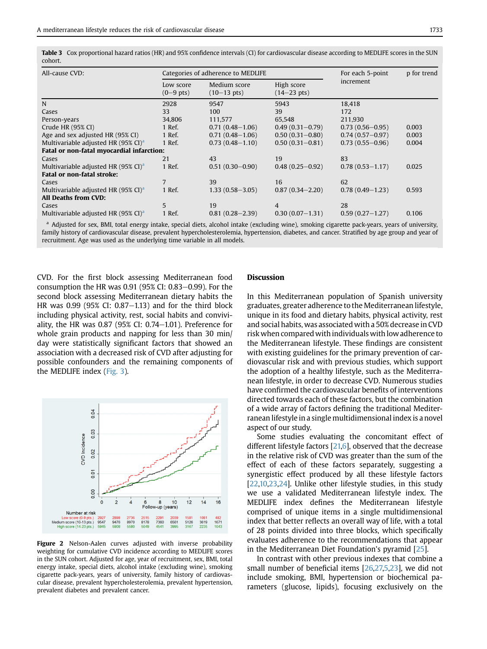<span id="page-5-0"></span>Table 3 Cox proportional hazard ratios (HR) and 95% confidence intervals (CI) for cardiovascular disease according to MEDLIFE scores in the SUN cohort.

| All-cause CVD:                                           | Categories of adherence to MEDLIFE |                                       |                                     | For each 5-point    | p for trend |  |
|----------------------------------------------------------|------------------------------------|---------------------------------------|-------------------------------------|---------------------|-------------|--|
|                                                          | Low score<br>$(0-9$ pts)           | Medium score<br>$(10-13 \text{ pts})$ | High score<br>$(14-23 \text{ pts})$ | increment           |             |  |
| N                                                        | 2928                               | 9547                                  | 5943                                | 18,418              |             |  |
| Cases                                                    | 33                                 | 100                                   | 39                                  | 172                 |             |  |
| Person-years                                             | 34,806                             | 111,577                               | 65,548                              | 211,930             |             |  |
| Crude HR $(95\%$ CI)                                     | 1 Ref.                             | $0.71(0.48 - 1.06)$                   | $0.49(0.31 - 0.79)$                 | $0.73(0.56 - 0.95)$ | 0.003       |  |
| Age and sex adjusted HR (95% CI)                         | 1 Ref.                             | $0.71(0.48 - 1.06)$                   | $0.50(0.31 - 0.80)$                 | $0.74(0.57 - 0.97)$ | 0.003       |  |
| Multivariable adjusted HR $(95\% \text{ CI})^{\text{a}}$ | 1 Ref.                             | $0.73(0.48 - 1.10)$                   | $0.50(0.31 - 0.81)$                 | $0.73(0.55 - 0.96)$ | 0.004       |  |
| Fatal or non-fatal myocardial infarction:                |                                    |                                       |                                     |                     |             |  |
| Cases                                                    | 2.1                                | 43                                    | 19                                  | 83                  |             |  |
| Multivariable adjusted HR $(95\% \text{ CI})^{\text{a}}$ | 1 Ref.                             | $0.51(0.30 - 0.90)$                   | $0.48(0.25 - 0.92)$                 | $0.78(0.53 - 1.17)$ | 0.025       |  |
| <b>Fatal or non-fatal stroke:</b>                        |                                    |                                       |                                     |                     |             |  |
| Cases                                                    | 7                                  | 39                                    | 16                                  | 62                  |             |  |
| Multivariable adjusted HR $(95\% \text{ CI})^{\text{a}}$ | 1 Ref.                             | $1.33(0.58 - 3.05)$                   | $0.87(0.34 - 2.20)$                 | $0.78(0.49-1.23)$   | 0.593       |  |
| All Deaths from CVD:                                     |                                    |                                       |                                     |                     |             |  |
| Cases                                                    | 5                                  | 19                                    | 4                                   | 28                  |             |  |
| Multivariable adjusted HR $(95\% \text{ CI})^{\text{a}}$ | 1 Ref.                             | $0.81(0.28 - 2.39)$                   | $0.30(0.07-1.31)$                   | $0.59(0.27-1.27)$   | 0.106       |  |

<span id="page-5-2"></span><sup>a</sup> Adjusted for sex, BMI, total energy intake, special diets, alcohol intake (excluding wine), smoking cigarette pack-years, years of university, family history of cardiovascular disease, prevalent hypercholesterolemia, hypertension, diabetes, and cancer. Stratified by age group and year of recruitment. Age was used as the underlying time variable in all models.

CVD. For the first block assessing Mediterranean food consumption the HR was  $0.91$  (95% CI:  $0.83-0.99$ ). For the second block assessing Mediterranean dietary habits the HR was  $0.99$  (95% CI:  $0.87-1.13$ ) and for the third block including physical activity, rest, social habits and conviviality, the HR was  $0.87$  (95% CI:  $0.74-1.01$ ). Preference for whole grain products and napping for less than 30 min/ day were statistically significant factors that showed an association with a decreased risk of CVD after adjusting for possible confounders and the remaining components of the MEDLIFE index [\(Fig. 3](#page-6-0)).

<span id="page-5-1"></span>

Figure 2 Nelson-Aalen curves adjusted with inverse probability weighting for cumulative CVD incidence according to MEDLIFE scores in the SUN cohort. Adjusted for age, year of recruitment, sex, BMI, total energy intake, special diets, alcohol intake (excluding wine), smoking cigarette pack-years, years of university, family history of cardiovascular disease, prevalent hypercholesterolemia, prevalent hypertension, prevalent diabetes and prevalent cancer.

# Discussion

In this Mediterranean population of Spanish university graduates, greater adherence to the Mediterranean lifestyle, unique in its food and dietary habits, physical activity, rest and social habits, was associated with a 50% decrease in CVD risk when compared with individuals with low adherence to the Mediterranean lifestyle. These findings are consistent with existing guidelines for the primary prevention of cardiovascular risk and with previous studies, which support the adoption of a healthy lifestyle, such as the Mediterranean lifestyle, in order to decrease CVD. Numerous studies have confirmed the cardiovascular benefits of interventions directed towards each of these factors, but the combination of a wide array of factors defining the traditional Mediterranean lifestyle in a single multidimensional index is a novel aspect of our study.

Some studies evaluating the concomitant effect of different lifestyle factors [[21,](#page-8-19)[6\]](#page-8-3), observed that the decrease in the relative risk of CVD was greater than the sum of the effect of each of these factors separately, suggesting a synergistic effect produced by all these lifestyle factors [[22,](#page-8-20)[10,](#page-8-8)[23](#page-8-21)[,24](#page-8-22)]. Unlike other lifestyle studies, in this study we use a validated Mediterranean lifestyle index. The MEDLIFE index defines the Mediterranean lifestyle comprised of unique items in a single multidimensional index that better reflects an overall way of life, with a total of 28 points divided into three blocks, which specifically evaluates adherence to the recommendations that appear in the Mediterranean Diet Foundation's pyramid [\[25](#page-8-23)].

In contrast with other previous indexes that combine a small number of beneficial items [\[26](#page-8-24)[,27,](#page-8-25)[5,](#page-8-7)[23](#page-8-21)], we did not include smoking, BMI, hypertension or biochemical parameters (glucose, lipids), focusing exclusively on the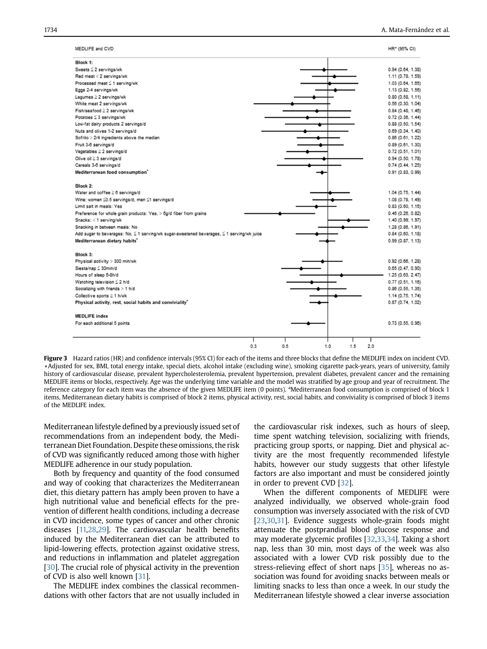<span id="page-6-0"></span>

| MEDLIFE and CVD                                                                                      |                   | HR* (95% CI)      |
|------------------------------------------------------------------------------------------------------|-------------------|-------------------|
| Block 1:                                                                                             |                   |                   |
| Sweets $\leq 2$ servings/wk                                                                          |                   | 0.94(0.64, 1.38)  |
| Red meat < 2 servings/wk                                                                             |                   | 1.11 (0.78, 1.59) |
| Processed meat ≤ 1 serving/wk                                                                        |                   | 1.03 (0.64, 1.65) |
| Eggs 2-4 servings/wk                                                                                 |                   | 1.13 (0.82, 1.56) |
| Legumes $\geq 2$ servings/wk                                                                         |                   | 0.80(0.58, 1.11)  |
| White meat 2 servings/wk                                                                             |                   | 0.56(0.30, 1.04)  |
| Fish/seafood ≥ 2 servings/wk                                                                         |                   | 0.84(0.48, 1.46)  |
| Potatoes ≤ 3 servings/wk                                                                             |                   | 0.72(0.36, 1.44)  |
| Low-fat dairy products 2 servings/d                                                                  |                   | 0.88(0.50, 1.54)  |
| Nuts and olives 1-2 servings/d                                                                       |                   | 0.69(0.34, 1.40)  |
| Sofrito > 2/4 ingredients above the median                                                           |                   | 0.86(0.61, 1.22)  |
| Fruit 3-6 servings/d                                                                                 |                   | 0.89(0.61, 1.30)  |
| Vegetables $\geq 2$ servings/d                                                                       |                   | 0.72(0.51, 1.01)  |
| Olive oil ≥ 3 servings/d                                                                             |                   | 0.94(0.50, 1.78)  |
| Cereals 3-6 servings/d                                                                               |                   | 0.74(0.44, 1.25)  |
| Mediterranean food consumption <sup>*</sup>                                                          |                   | 0.91 (0.83, 0.99) |
| Block 2:                                                                                             |                   |                   |
| Water and coffee $\geq 6$ servings/d                                                                 |                   | 1.04 (0.75, 1.44) |
| Wine: women 20.5 servings/d, men 21 servings/d                                                       |                   | 1.08 (0.78, 1.49) |
| Limit salt in meals: Yes                                                                             |                   | 0.83(0.60, 1.15)  |
| Preference for whole grain products: Yes, > 6g/d fiber from grains                                   |                   | 0.46(0.26, 0.82)  |
| Snacks: < 1 serving/wk                                                                               |                   | 1.40 (0.99, 1.97) |
| Snacking in between meals: No                                                                        |                   | 1.28 (0.86, 1.91) |
| Add sugar to beverages: No, $\leq$ 1 serving/wk sugar-sweetened beverages, $\leq$ 1 serving/wk juice |                   | 0.84(0.60, 1.18)  |
| Mediterranean dietary habits <sup>®</sup>                                                            |                   | 0.99(0.87, 1.13)  |
| Block 3:                                                                                             |                   |                   |
| Physical activity > 300 min/wk                                                                       |                   | 0.92(0.66, 1.28)  |
| Siesta/nap ≤ 30min/d                                                                                 |                   | 0.65(0.47, 0.90)  |
| Hours of sleep 6-8h/d                                                                                |                   | 1.25 (0.63, 2.47) |
| Watching television $\leq 2$ h/d                                                                     |                   | 0.77(0.51, 1.16)  |
| Socializing with friends > 1 h/d                                                                     |                   | 0.86 (0.55, 1.35) |
| Collective sports ≥ 1 h/wk                                                                           |                   | 1.14 (0.75, 1.74) |
| Physical activity, rest, social habits and conviviality <sup>*</sup>                                 |                   | 0.87(0.74, 1.02)  |
| <b>MEDLIFE index</b>                                                                                 |                   |                   |
| For each additional 5 points                                                                         |                   | 0.73(0.55, 0.96)  |
| 0.3                                                                                                  | 0.5<br>1.0<br>1.5 | 2.0               |

Figure 3 Hazard ratios (HR) and confidence intervals (95% CI) for each of the items and three blocks that define the MEDLIFE index on incident CVD. \*Adjusted for sex, BMI, total energy intake, special diets, alcohol intake (excluding wine), smoking cigarette pack-years, years of university, family history of cardiovascular disease, prevalent hypercholesterolemia, prevalent hypertension, prevalent diabetes, prevalent cancer and the remaining MEDLIFE items or blocks, respectively. Age was the underlying time variable and the model was stratified by age group and year of recruitment. The reference category for each item was the absence of the given MEDLIFE item (0 points). <sup>a</sup>Mediterranean food consumption is comprised of block 1 items, Mediterranean dietary habits is comprised of block 2 items, physical activity, rest, social habits, and conviviality is comprised of block 3 items of the MEDLIFE index.

Mediterranean lifestyle defined by a previously issued set of recommendations from an independent body, the Mediterranean Diet Foundation. Despite these omissions, the risk of CVD was significantly reduced among those with higher MEDLIFE adherence in our study population.

Both by frequency and quantity of the food consumed and way of cooking that characterizes the Mediterranean diet, this dietary pattern has amply been proven to have a high nutritional value and beneficial effects for the prevention of different health conditions, including a decrease in CVD incidence, some types of cancer and other chronic diseases [[11,](#page-8-9)[28,](#page-8-26)[29](#page-9-1)]. The cardiovascular health benefits induced by the Mediterranean diet can be attributed to lipid-lowering effects, protection against oxidative stress, and reductions in inflammation and platelet aggregation [[30](#page-9-2)]. The crucial role of physical activity in the prevention of CVD is also well known [[31\]](#page-9-3).

The MEDLIFE index combines the classical recommendations with other factors that are not usually included in the cardiovascular risk indexes, such as hours of sleep, time spent watching television, socializing with friends, practicing group sports, or napping. Diet and physical activity are the most frequently recommended lifestyle habits, however our study suggests that other lifestyle factors are also important and must be considered jointly in order to prevent CVD [[32\]](#page-9-4).

When the different components of MEDLIFE were analyzed individually, we observed whole-grain food consumption was inversely associated with the risk of CVD [[23](#page-8-21)[,30,](#page-9-2)[31\]](#page-9-3). Evidence suggests whole-grain foods might attenuate the postprandial blood glucose response and may moderate glycemic profiles [[32,](#page-9-4)[33](#page-9-5)[,34](#page-9-6)]. Taking a short nap, less than 30 min, most days of the week was also associated with a lower CVD risk possibly due to the stress-relieving effect of short naps [\[35](#page-9-7)], whereas no association was found for avoiding snacks between meals or limiting snacks to less than once a week. In our study the Mediterranean lifestyle showed a clear inverse association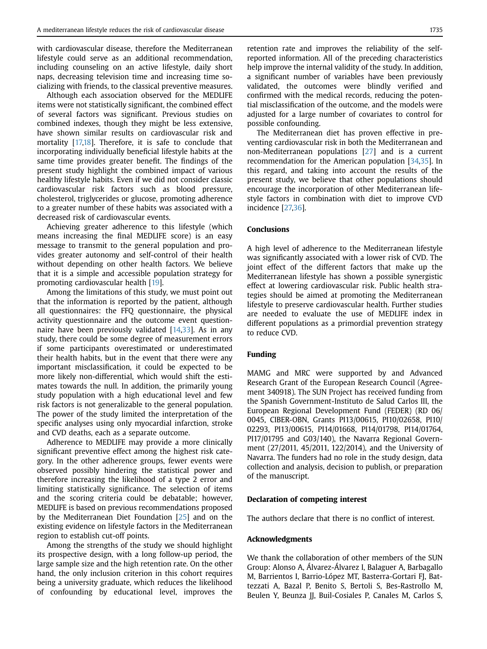with cardiovascular disease, therefore the Mediterranean lifestyle could serve as an additional recommendation, including counseling on an active lifestyle, daily short naps, decreasing television time and increasing time socializing with friends, to the classical preventive measures.

Although each association observed for the MEDLIFE items were not statistically significant, the combined effect of several factors was significant. Previous studies on combined indexes, though they might be less extensive, have shown similar results on cardiovascular risk and mortality [[17,](#page-8-15)[18\]](#page-8-16). Therefore, it is safe to conclude that incorporating individually beneficial lifestyle habits at the same time provides greater benefit. The findings of the present study highlight the combined impact of various healthy lifestyle habits. Even if we did not consider classic cardiovascular risk factors such as blood pressure, cholesterol, triglycerides or glucose, promoting adherence to a greater number of these habits was associated with a decreased risk of cardiovascular events.

Achieving greater adherence to this lifestyle (which means increasing the final MEDLIFE score) is an easy message to transmit to the general population and provides greater autonomy and self-control of their health without depending on other health factors. We believe that it is a simple and accessible population strategy for promoting cardiovascular health [\[19](#page-8-17)].

Among the limitations of this study, we must point out that the information is reported by the patient, although all questionnaires: the FFQ questionnaire, the physical activity questionnaire and the outcome event questionnaire have been previously validated  $[14,33]$  $[14,33]$  $[14,33]$ . As in any study, there could be some degree of measurement errors if some participants overestimated or underestimated their health habits, but in the event that there were any important misclassification, it could be expected to be more likely non-differential, which would shift the estimates towards the null. In addition, the primarily young study population with a high educational level and few risk factors is not generalizable to the general population. The power of the study limited the interpretation of the specific analyses using only myocardial infarction, stroke and CVD deaths, each as a separate outcome.

Adherence to MEDLIFE may provide a more clinically significant preventive effect among the highest risk category. In the other adherence groups, fewer events were observed possibly hindering the statistical power and therefore increasing the likelihood of a type 2 error and limiting statistically significance. The selection of items and the scoring criteria could be debatable; however, MEDLIFE is based on previous recommendations proposed by the Mediterranean Diet Foundation [\[25\]](#page-8-23) and on the existing evidence on lifestyle factors in the Mediterranean region to establish cut-off points.

Among the strengths of the study we should highlight its prospective design, with a long follow-up period, the large sample size and the high retention rate. On the other hand, the only inclusion criterion in this cohort requires being a university graduate, which reduces the likelihood of confounding by educational level, improves the retention rate and improves the reliability of the selfreported information. All of the preceding characteristics help improve the internal validity of the study. In addition, a significant number of variables have been previously validated, the outcomes were blindly verified and confirmed with the medical records, reducing the potential misclassification of the outcome, and the models were adjusted for a large number of covariates to control for possible confounding.

The Mediterranean diet has proven effective in preventing cardiovascular risk in both the Mediterranean and non-Mediterranean populations [[27\]](#page-8-25) and is a current recommendation for the American population [\[34](#page-9-6)[,35\]](#page-9-7). In this regard, and taking into account the results of the present study, we believe that other populations should encourage the incorporation of other Mediterranean lifestyle factors in combination with diet to improve CVD incidence [[27,](#page-8-25)[36](#page-9-8)].

# Conclusions

A high level of adherence to the Mediterranean lifestyle was significantly associated with a lower risk of CVD. The joint effect of the different factors that make up the Mediterranean lifestyle has shown a possible synergistic effect at lowering cardiovascular risk. Public health strategies should be aimed at promoting the Mediterranean lifestyle to preserve cardiovascular health. Further studies are needed to evaluate the use of MEDLIFE index in different populations as a primordial prevention strategy to reduce CVD.

# Funding

MAMG and MRC were supported by and Advanced Research Grant of the European Research Council (Agreement 340918). The SUN Project has received funding from the Spanish Government-Instituto de Salud Carlos III, the European Regional Development Fund (FEDER) (RD 06/ 0045, CIBER-OBN, Grants PI13/00615, PI10/02658, PI10/ 02293, PI13/00615, PI14/01668, PI14/01798, PI14/01764, PI17/01795 and G03/140), the Navarra Regional Government (27/2011, 45/2011, 122/2014), and the University of Navarra. The funders had no role in the study design, data collection and analysis, decision to publish, or preparation of the manuscript.

# Declaration of competing interest

The authors declare that there is no conflict of interest.

## Acknowledgments

We thank the collaboration of other members of the SUN Group: Alonso A, Álvarez-Álvarez I, Balaguer A, Barbagallo M, Barrientos I, Barrio-López MT, Basterra-Gortari FJ, Battezzati A, Bazal P, Benito S, Bertoli S, Bes-Rastrollo M, Beulen Y, Beunza JJ, Buil-Cosiales P, Canales M, Carlos S,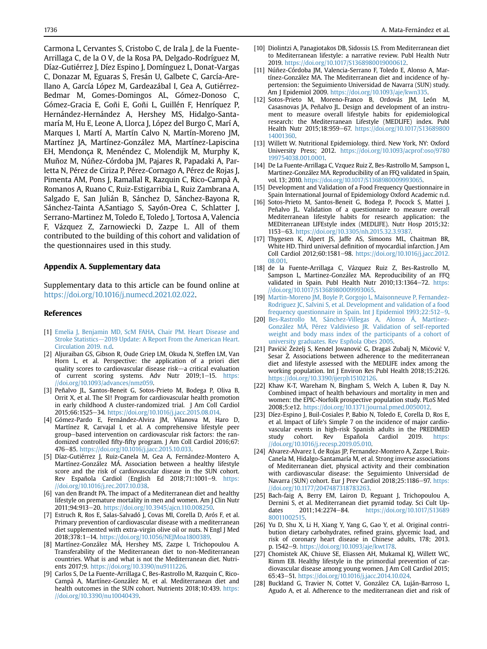Carmona L, Cervantes S, Cristobo C, de Irala J, de la Fuente-Arrillaga C, de la O V, de la Rosa PA, Delgado-Rodríguez M, Díaz-Gutiérrez J, Díez Espino J, Domínguez L, Donat-Vargas C, Donazar M, Eguaras S, Fresán U, Galbete C, García-Arellano A, García López M, Gardeazábal I, Gea A, Gutiérrez-Bedmar M, Gomes-Domingos AL, Gómez-Donoso C, Gómez-Gracia E, Goñi E, Goñi L, Guillén F, Henríquez P, Hernández-Hernández A, Hershey MS, Hidalgo-Santamaría M, Hu E, Leone A, Llorca J, López del Burgo C, Marí A, Marques I, Martí A, Martín Calvo N, Martín-Moreno JM, Martínez JA, Martínez-González MA, Martínez-Lapiscina EH, Mendonça R, Menéndez C, Molendijk M, Murphy K, Muñoz M, Núñez-Córdoba JM, Pajares R, Papadaki A, Parletta N, Pérez de Ciriza P, Pérez-Cornago A, Pérez de Rojas J, Pimenta AM, Pons J, Ramallal R, Razquin C, Rico-Campà A, Romanos A, Ruano C, Ruiz-Estigarribia L, Ruiz Zambrana A, Salgado E, San Julián B, Sánchez D, Sánchez-Bayona R, Sánchez-Tainta A,Santiago S, Sayón-Orea C, Schlatter J, Serrano-Martinez M, Toledo E, Toledo J, Tortosa A, Valencia F, Vázquez Z, Zarnowiecki D, Zazpe I.. All of them contributed to the building of this cohort and validation of the questionnaires used in this study.

# Appendix A. Supplementary data

Supplementary data to this article can be found online at <https://doi.org/10.1016/j.numecd.2021.02.022>.

# References

- <span id="page-8-0"></span>[1] [Emelia J, Benjamin MD, ScM FAHA, Chair PM. Heart Disease and](http://refhub.elsevier.com/S0939-4753(21)00093-4/sref1) [Stroke Statistics](http://refhub.elsevier.com/S0939-4753(21)00093-4/sref1)-[2019 Update: A Report From the American Heart.](http://refhub.elsevier.com/S0939-4753(21)00093-4/sref1) [Circulation 2019. n.d](http://refhub.elsevier.com/S0939-4753(21)00093-4/sref1).
- <span id="page-8-1"></span>[2] Aljuraiban GS, Gibson R, Oude Griep LM, Okuda N, Steffen LM, Van Horn L, et al. Perspective: the application of a priori diet quality scores to cardiovascular disease risk-a critical evaluation of current scoring systems. Adv Nutr 2019;1-15. [https:](https://doi.org/10.1093/advances/nmz059) [//doi.org/10.1093/advances/nmz059](https://doi.org/10.1093/advances/nmz059).
- <span id="page-8-2"></span>[3] Peñalvo JL, Santos-Beneit G, Sotos-Prieto M, Bodega P, Oliva B, Orrit X, et al. The SI! Program for cardiovascular health promotion in early childhood A cluster-randomized trial. J Am Coll Cardiol 2015;66:1525-34. <https://doi.org/10.1016/j.jacc.2015.08.014>.
- [4] Gómez-Pardo E, Fernández-Alvira JM, Vilanova M, Haro D, Martínez R, Carvajal I, et al. A comprehensive lifestyle peer group-based intervention on cardiovascular risk factors: the randomized controlled fifty-fifty program. J Am Coll Cardiol 2016;67: 476-85. <https://doi.org/10.1016/j.jacc.2015.10.033>.
- <span id="page-8-7"></span>[5] Díaz-Gutiérrez J, Ruiz-Canela M, Gea A, Fernández-Montero A, Martínez-González MÁ. Association between a healthy lifestyle score and the risk of cardiovascular disease in the SUN cohort. Rev Española Cardiol (English Ed 2018;71:1001-9. [https:](https://doi.org/10.1016/j.rec.2017.10.038) [//doi.org/10.1016/j.rec.2017.10.038](https://doi.org/10.1016/j.rec.2017.10.038).
- <span id="page-8-3"></span>[6] van den Brandt PA. The impact of a Mediterranean diet and healthy lifestyle on premature mortality in men and women. Am J Clin Nutr 2011;94:913-20. <https://doi.org/10.3945/ajcn.110.008250>.
- <span id="page-8-4"></span>[7] Estruch R, Ros E, Salas-Salvadó J, Covas MI, Corella D, Arós F, et al. Primary prevention of cardiovascular disease with a mediterranean diet supplemented with extra-virgin olive oil or nuts. N Engl J Med 2018;378:1-14. [https://doi.org/10.1056/NEJMoa1800389.](https://doi.org/10.1056/NEJMoa1800389)
- <span id="page-8-5"></span>[8] Martínez-González MÁ, Hershey MS, Zazpe I, Trichopoulou A. Transferability of the Mediterranean diet to non-Mediterranean countries. What is and what is not the Mediterranean diet. Nutrients 2017;9. <https://doi.org/10.3390/nu9111226>.
- <span id="page-8-6"></span>[9] Carlos S, De La Fuente-Arrillaga C, Bes-Rastrollo M, Razquin C, Rico-Campà A, Martínez-González M, et al. Mediterranean diet and health outcomes in the SUN cohort. Nutrients 2018;10:439. [https:](https://doi.org/10.3390/nu10040439) [//doi.org/10.3390/nu10040439.](https://doi.org/10.3390/nu10040439)
- <span id="page-8-8"></span>[10] Diolintzi A, Panagiotakos DB, Sidossis LS. From Mediterranean diet to Mediterranean lifestyle: a narrative review. Publ Health Nutr 2019. <https://doi.org/10.1017/S1368980019000612>.
- <span id="page-8-9"></span>[11] Núñez-Córdoba JM, Valencia-Serrano F, Toledo E, Alonso A, Martínez-González MA. The Mediterranean diet and incidence of hypertension: the Seguimiento Universidad de Navarra (SUN) study. Am J Epidemiol 2009. [https://doi.org/10.1093/aje/kwn335.](https://doi.org/10.1093/aje/kwn335)
- <span id="page-8-10"></span>[12] Sotos-Prieto M, Moreno-Franco B, Ordovás JM, León M, Casasnovas JA, Peñalvo JL. Design and development of an instrument to measure overall lifestyle habits for epidemiological research: the Mediterranean Lifestyle (MEDLIFE) index. Publ Health Nutr 2015;18:959-67. [https://doi.org/10.1017/S13689800](https://doi.org/10.1017/S1368980014001360) [14001360](https://doi.org/10.1017/S1368980014001360).
- <span id="page-8-11"></span>[13] Willett W. Nutritional Epidemiology. third. New York, NY: Oxford University Press; 2012. [https://doi.org/10.1093/acprof:oso/9780](https://doi.org/10.1093/acprof:oso/9780199754038.001.0001) [199754038.001.0001.](https://doi.org/10.1093/acprof:oso/9780199754038.001.0001)
- <span id="page-8-12"></span>[14] De La Fuente-Arrillaga C, Vzquez Ruiz Z, Bes-Rastrollo M, Sampson L, Martinez-González MA. Reproducibility of an FFQ validated in Spain, vol. 13; 2010. [https://doi.org/10.1017/S1368980009993065.](https://doi.org/10.1017/S1368980009993065)
- <span id="page-8-13"></span>[15] Development and Validation of a Food Frequency Questionnaire in Spain International Journal of Epidemiology Oxford Academic n.d.
- <span id="page-8-14"></span>[16] Sotos-Prieto M, Santos-Beneit G, Bodega P, Pocock S, Mattei J, Peñalvo JL. Validation of a questionnaire to measure overall Mediterranean lifestyle habits for research application: the MEDiterranean LIFEstyle index (MEDLIFE). Nutr Hosp 2015;32: 1153e63. [https://doi.org/10.3305/nh.2015.32.3.9387.](https://doi.org/10.3305/nh.2015.32.3.9387)
- <span id="page-8-15"></span>[17] Thygesen K, Alpert JS, Jaffe AS, Simoons ML, Chaitman BR, White HD. Third universal definition of myocardial infarction. J Am Coll Cardiol 2012;60:1581-98. [https://doi.org/10.1016/j.jacc.2012.](https://doi.org/10.1016/j.jacc.2012.08.001) [08.001.](https://doi.org/10.1016/j.jacc.2012.08.001)
- <span id="page-8-16"></span>[18] de la Fuente-Arrillaga C, Vázquez Ruiz Z, Bes-Rastrollo M, Sampson L, Martinez-González MA. Reproducibility of an FFQ validated in Spain. Publ Health Nutr  $2010;13:1364-72$ . [https:](https://doi.org/10.1017/S1368980009993065) [//doi.org/10.1017/S1368980009993065.](https://doi.org/10.1017/S1368980009993065)
- <span id="page-8-17"></span>[19] [Martin-Moreno JM, Boyle P, Gorgojo L, Maisonneuve P, Fernandez-](http://refhub.elsevier.com/S0939-4753(21)00093-4/sref19)[Rodriguez JC, Salvini S, et al. Development and validation of a food](http://refhub.elsevier.com/S0939-4753(21)00093-4/sref19) [frequency questionnaire in Spain. Int J Epidemiol 1993;22:512](http://refhub.elsevier.com/S0939-4753(21)00093-4/sref19)-[9](http://refhub.elsevier.com/S0939-4753(21)00093-4/sref19).
- <span id="page-8-18"></span>[20] [Bes-Rastrollo M, Sánchez-Villegas A, Alonso Á, Martínez-](http://refhub.elsevier.com/S0939-4753(21)00093-4/sref20)[González MÁ, Pérez Valdivieso JR. Validation of self-reported](http://refhub.elsevier.com/S0939-4753(21)00093-4/sref20) [weight and body mass index of the participants of a cohort of](http://refhub.elsevier.com/S0939-4753(21)00093-4/sref20) [university graduates. Rev Espñola Obes 2005.](http://refhub.elsevier.com/S0939-4753(21)00093-4/sref20)
- <span id="page-8-19"></span>[21] Pavičić Žeželj S, Kenđel Jovanović G, Dragaš Zubalj N, Mićović V, Sesar Z. Associations between adherence to the mediterranean diet and lifestyle assessed with the MEDLIFE index among the working population. Int J Environ Res Publ Health 2018;15:2126. [https://doi.org/10.3390/ijerph15102126.](https://doi.org/10.3390/ijerph15102126)
- <span id="page-8-20"></span>[22] Khaw K-T, Wareham N, Bingham S, Welch A, Luben R, Day N. Combined impact of health behaviours and mortality in men and women: the EPIC-Norfolk prospective population study. PLoS Med 2008;5:e12. [https://doi.org/10.1371/journal.pmed.0050012.](https://doi.org/10.1371/journal.pmed.0050012)
- <span id="page-8-21"></span>[23] Díez-Espino J, Buil-Cosiales P, Babio N, Toledo E, Corella D, Ros E, et al. Impact of Life's Simple 7 on the incidence of major cardiovascular events in high-risk Spanish adults in the PREDIMED study cohort. Rev Española Cardiol 2019. [https:](https://doi.org/10.1016/j.recesp.2019.05.010) [//doi.org/10.1016/j.recesp.2019.05.010](https://doi.org/10.1016/j.recesp.2019.05.010).
- <span id="page-8-22"></span>[24] Alvarez-Alvarez I, de Rojas JP, Fernandez-Montero A, Zazpe I, Ruiz-Canela M, Hidalgo-Santamaría M, et al. Strong inverse associations of Mediterranean diet, physical activity and their combination with cardiovascular disease: the Seguimiento Universidad de Navarra (SUN) cohort. Eur J Prev Cardiol 2018;25:1186-97. [https:](https://doi.org/10.1177/2047487318783263) [//doi.org/10.1177/2047487318783263](https://doi.org/10.1177/2047487318783263).
- <span id="page-8-23"></span>[25] Bach-faig A, Berry EM, Lairon D, Reguant J, Trichopoulou A, Dernini S, et al. Mediterranean diet pyramid today. Sci Cult Updates 2011;14:2274-84. [https://doi.org/10.1017/S13689](https://doi.org/10.1017/S1368980011002515) [80011002515.](https://doi.org/10.1017/S1368980011002515)
- <span id="page-8-24"></span>[26] Yu D, Shu X, Li H, Xiang Y, Yang G, Gao Y, et al. Original contribution dietary carbohydrates, refined grains, glycemic load, and risk of coronary heart disease in Chinese adults, 178; 2013. p. 1542-9. <https://doi.org/10.1093/aje/kwt178>.
- <span id="page-8-25"></span>[27] Chomistek AK, Chiuve SE, Eliassen AH, Mukamal KJ, Willett WC, Rimm EB. Healthy lifestyle in the primordial prevention of cardiovascular disease among young women. J Am Coll Cardiol 2015; 65:43–51. <https://doi.org/10.1016/j.jacc.2014.10.024>.
- <span id="page-8-26"></span>[28] Buckland G, Travier N, Cottet V, González CA, Luján-Barroso L, Agudo A, et al. Adherence to the mediterranean diet and risk of